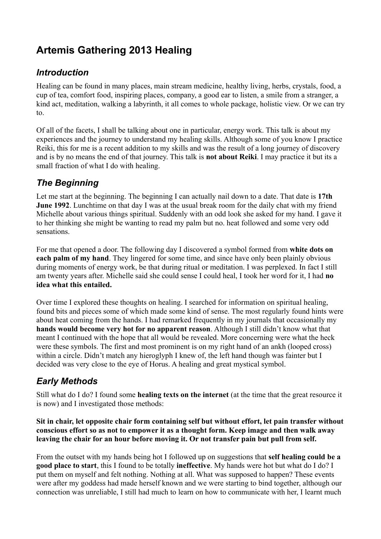# **Artemis Gathering 2013 Healing**

# *Introduction*

Healing can be found in many places, main stream medicine, healthy living, herbs, crystals, food, a cup of tea, comfort food, inspiring places, company, a good ear to listen, a smile from a stranger, a kind act, meditation, walking a labyrinth, it all comes to whole package, holistic view. Or we can try to.

Of all of the facets, I shall be talking about one in particular, energy work. This talk is about my experiences and the journey to understand my healing skills. Although some of you know I practice Reiki, this for me is a recent addition to my skills and was the result of a long journey of discovery and is by no means the end of that journey. This talk is **not about Reiki**. I may practice it but its a small fraction of what I do with healing.

## *The Beginning*

Let me start at the beginning. The beginning I can actually nail down to a date. That date is **17th June 1992**. Lunchtime on that day I was at the usual break room for the daily chat with my friend Michelle about various things spiritual. Suddenly with an odd look she asked for my hand. I gave it to her thinking she might be wanting to read my palm but no. heat followed and some very odd sensations.

For me that opened a door. The following day I discovered a symbol formed from **white dots on each palm of my hand**. They lingered for some time, and since have only been plainly obvious during moments of energy work, be that during ritual or meditation. I was perplexed. In fact I still am twenty years after. Michelle said she could sense I could heal, I took her word for it, I had **no idea what this entailed.**

Over time I explored these thoughts on healing. I searched for information on spiritual healing, found bits and pieces some of which made some kind of sense. The most regularly found hints were about heat coming from the hands. I had remarked frequently in my journals that occasionally my **hands would become very hot for no apparent reason**. Although I still didn't know what that meant I continued with the hope that all would be revealed. More concerning were what the heck were these symbols. The first and most prominent is on my right hand of an ankh (looped cross) within a circle. Didn't match any hieroglyph I knew of, the left hand though was fainter but I decided was very close to the eye of Horus. A healing and great mystical symbol.

# *Early Methods*

Still what do I do? I found some **healing texts on the internet** (at the time that the great resource it is now) and I investigated those methods:

**Sit in chair, let opposite chair form containing self but without effort, let pain transfer without conscious effort so as not to empower it as a thought form. Keep image and then walk away leaving the chair for an hour before moving it. Or not transfer pain but pull from self.**

From the outset with my hands being hot I followed up on suggestions that **self healing could be a good place to start**, this I found to be totally **ineffective**. My hands were hot but what do I do? I put them on myself and felt nothing. Nothing at all. What was supposed to happen? These events were after my goddess had made herself known and we were starting to bind together, although our connection was unreliable, I still had much to learn on how to communicate with her, I learnt much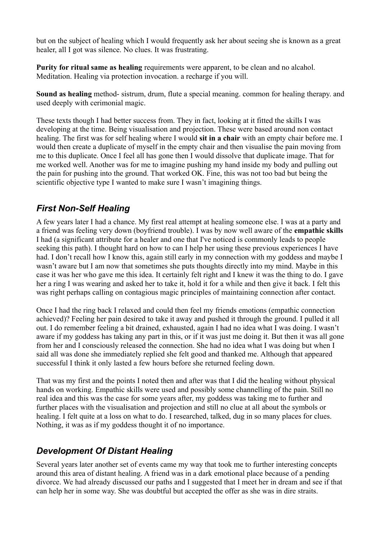but on the subject of healing which I would frequently ask her about seeing she is known as a great healer, all I got was silence. No clues. It was frustrating.

**Purity for ritual same as healing** requirements were apparent, to be clean and no alcahol. Meditation. Healing via protection invocation. a recharge if you will.

**Sound as healing** method- sistrum, drum, flute a special meaning. common for healing therapy. and used deeply with cerimonial magic.

These texts though I had better success from. They in fact, looking at it fitted the skills I was developing at the time. Being visualisation and projection. These were based around non contact healing. The first was for self healing where I would **sit in a chair** with an empty chair before me. I would then create a duplicate of myself in the empty chair and then visualise the pain moving from me to this duplicate. Once I feel all has gone then I would dissolve that duplicate image. That for me worked well. Another was for me to imagine pushing my hand inside my body and pulling out the pain for pushing into the ground. That worked OK. Fine, this was not too bad but being the scientific objective type I wanted to make sure I wasn't imagining things.

## *First Non-Self Healing*

A few years later I had a chance. My first real attempt at healing someone else. I was at a party and a friend was feeling very down (boyfriend trouble). I was by now well aware of the **empathic skills** I had (a significant attribute for a healer and one that I've noticed is commonly leads to people seeking this path). I thought hard on how to can I help her using these previous experiences I have had. I don't recall how I know this, again still early in my connection with my goddess and maybe I wasn't aware but I am now that sometimes she puts thoughts directly into my mind. Maybe in this case it was her who gave me this idea. It certainly felt right and I knew it was the thing to do. I gave her a ring I was wearing and asked her to take it, hold it for a while and then give it back. I felt this was right perhaps calling on contagious magic principles of maintaining connection after contact.

Once I had the ring back I relaxed and could then feel my friends emotions (empathic connection achieved)? Feeling her pain desired to take it away and pushed it through the ground. I pulled it all out. I do remember feeling a bit drained, exhausted, again I had no idea what I was doing. I wasn't aware if my goddess has taking any part in this, or if it was just me doing it. But then it was all gone from her and I consciously released the connection. She had no idea what I was doing but when I said all was done she immediately replied she felt good and thanked me. Although that appeared successful I think it only lasted a few hours before she returned feeling down.

That was my first and the points I noted then and after was that I did the healing without physical hands on working. Empathic skills were used and possibly some channelling of the pain. Still no real idea and this was the case for some years after, my goddess was taking me to further and further places with the visualisation and projection and still no clue at all about the symbols or healing. I felt quite at a loss on what to do. I researched, talked, dug in so many places for clues. Nothing, it was as if my goddess thought it of no importance.

# *Development Of Distant Healing*

Several years later another set of events came my way that took me to further interesting concepts around this area of distant healing. A friend was in a dark emotional place because of a pending divorce. We had already discussed our paths and I suggested that I meet her in dream and see if that can help her in some way. She was doubtful but accepted the offer as she was in dire straits.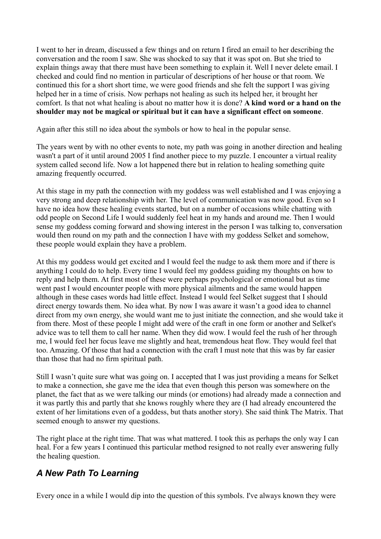I went to her in dream, discussed a few things and on return I fired an email to her describing the conversation and the room I saw. She was shocked to say that it was spot on. But she tried to explain things away that there must have been something to explain it. Well I never delete email. I checked and could find no mention in particular of descriptions of her house or that room. We continued this for a short short time, we were good friends and she felt the support I was giving helped her in a time of crisis. Now perhaps not healing as such its helped her, it brought her comfort. Is that not what healing is about no matter how it is done? **A kind word or a hand on the shoulder may not be magical or spiritual but it can have a significant effect on someone**.

Again after this still no idea about the symbols or how to heal in the popular sense.

The years went by with no other events to note, my path was going in another direction and healing wasn't a part of it until around 2005 I find another piece to my puzzle. I encounter a virtual reality system called second life. Now a lot happened there but in relation to healing something quite amazing frequently occurred.

At this stage in my path the connection with my goddess was well established and I was enjoying a very strong and deep relationship with her. The level of communication was now good. Even so I have no idea how these healing events started, but on a number of occasions while chatting with odd people on Second Life I would suddenly feel heat in my hands and around me. Then I would sense my goddess coming forward and showing interest in the person I was talking to, conversation would then round on my path and the connection I have with my goddess Selket and somehow, these people would explain they have a problem.

At this my goddess would get excited and I would feel the nudge to ask them more and if there is anything I could do to help. Every time I would feel my goddess guiding my thoughts on how to reply and help them. At first most of these were perhaps psychological or emotional but as time went past I would encounter people with more physical ailments and the same would happen although in these cases words had little effect. Instead I would feel Selket suggest that I should direct energy towards them. No idea what. By now I was aware it wasn't a good idea to channel direct from my own energy, she would want me to just initiate the connection, and she would take it from there. Most of these people I might add were of the craft in one form or another and Selket's advice was to tell them to call her name. When they did wow. I would feel the rush of her through me, I would feel her focus leave me slightly and heat, tremendous heat flow. They would feel that too. Amazing. Of those that had a connection with the craft I must note that this was by far easier than those that had no firm spiritual path.

Still I wasn't quite sure what was going on. I accepted that I was just providing a means for Selket to make a connection, she gave me the idea that even though this person was somewhere on the planet, the fact that as we were talking our minds (or emotions) had already made a connection and it was partly this and partly that she knows roughly where they are (I had already encountered the extent of her limitations even of a goddess, but thats another story). She said think The Matrix. That seemed enough to answer my questions.

The right place at the right time. That was what mattered. I took this as perhaps the only way I can heal. For a few years I continued this particular method resigned to not really ever answering fully the healing question.

# *A New Path To Learning*

Every once in a while I would dip into the question of this symbols. I've always known they were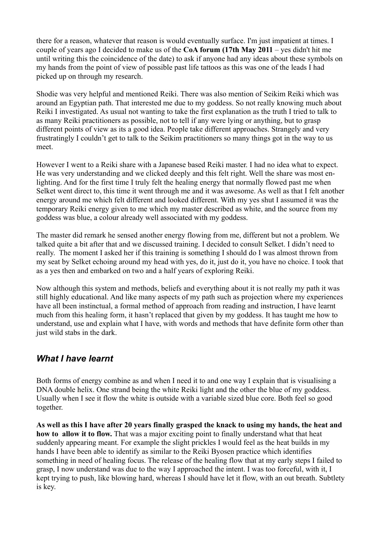there for a reason, whatever that reason is would eventually surface. I'm just impatient at times. I couple of years ago I decided to make us of the **CoA forum (17th May 2011** – yes didn't hit me until writing this the coincidence of the date) to ask if anyone had any ideas about these symbols on my hands from the point of view of possible past life tattoos as this was one of the leads I had picked up on through my research.

Shodie was very helpful and mentioned Reiki. There was also mention of Seikim Reiki which was around an Egyptian path. That interested me due to my goddess. So not really knowing much about Reiki I investigated. As usual not wanting to take the first explanation as the truth I tried to talk to as many Reiki practitioners as possible, not to tell if any were lying or anything, but to grasp different points of view as its a good idea. People take different approaches. Strangely and very frustratingly I couldn't get to talk to the Seikim practitioners so many things got in the way to us meet.

However I went to a Reiki share with a Japanese based Reiki master. I had no idea what to expect. He was very understanding and we clicked deeply and this felt right. Well the share was most enlighting. And for the first time I truly felt the healing energy that normally flowed past me when Selket went direct to, this time it went through me and it was awesome. As well as that I felt another energy around me which felt different and looked different. With my yes shut I assumed it was the temporary Reiki energy given to me which my master described as white, and the source from my goddess was blue, a colour already well associated with my goddess.

The master did remark he sensed another energy flowing from me, different but not a problem. We talked quite a bit after that and we discussed training. I decided to consult Selket. I didn't need to really. The moment I asked her if this training is something I should do I was almost thrown from my seat by Selket echoing around my head with yes, do it, just do it, you have no choice. I took that as a yes then and embarked on two and a half years of exploring Reiki.

Now although this system and methods, beliefs and everything about it is not really my path it was still highly educational. And like many aspects of my path such as projection where my experiences have all been instinctual, a formal method of approach from reading and instruction, I have learnt much from this healing form, it hasn't replaced that given by my goddess. It has taught me how to understand, use and explain what I have, with words and methods that have definite form other than just wild stabs in the dark.

#### *What I have learnt*

Both forms of energy combine as and when I need it to and one way I explain that is visualising a DNA double helix. One strand being the white Reiki light and the other the blue of my goddess. Usually when I see it flow the white is outside with a variable sized blue core. Both feel so good together.

**As well as this I have after 20 years finally grasped the knack to using my hands, the heat and how to allow it to flow.** That was a major exciting point to finally understand what that heat suddenly appearing meant. For example the slight prickles I would feel as the heat builds in my hands I have been able to identify as similar to the Reiki Byosen practice which identifies something in need of healing focus. The release of the healing flow that at my early steps I failed to grasp, I now understand was due to the way I approached the intent. I was too forceful, with it, I kept trying to push, like blowing hard, whereas I should have let it flow, with an out breath. Subtlety is key.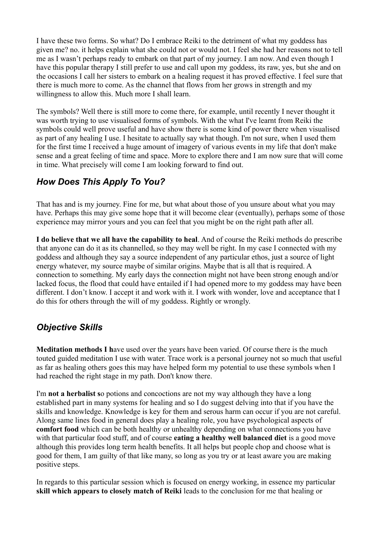I have these two forms. So what? Do I embrace Reiki to the detriment of what my goddess has given me? no. it helps explain what she could not or would not. I feel she had her reasons not to tell me as I wasn't perhaps ready to embark on that part of my journey. I am now. And even though I have this popular therapy I still prefer to use and call upon my goddess, its raw, yes, but she and on the occasions I call her sisters to embark on a healing request it has proved effective. I feel sure that there is much more to come. As the channel that flows from her grows in strength and my willingness to allow this. Much more I shall learn.

The symbols? Well there is still more to come there, for example, until recently I never thought it was worth trying to use visualised forms of symbols. With the what I've learnt from Reiki the symbols could well prove useful and have show there is some kind of power there when visualised as part of any healing I use. I hesitate to actually say what though. I'm not sure, when I used them for the first time I received a huge amount of imagery of various events in my life that don't make sense and a great feeling of time and space. More to explore there and I am now sure that will come in time. What precisely will come I am looking forward to find out.

## *How Does This Apply To You?*

That has and is my journey. Fine for me, but what about those of you unsure about what you may have. Perhaps this may give some hope that it will become clear (eventually), perhaps some of those experience may mirror yours and you can feel that you might be on the right path after all.

**I do believe that we all have the capability to heal**. And of course the Reiki methods do prescribe that anyone can do it as its channelled, so they may well be right. In my case I connected with my goddess and although they say a source independent of any particular ethos, just a source of light energy whatever, my source maybe of similar origins. Maybe that is all that is required. A connection to something. My early days the connection might not have been strong enough and/or lacked focus, the flood that could have entailed if I had opened more to my goddess may have been different. I don't know. I accept it and work with it. I work with wonder, love and acceptance that I do this for others through the will of my goddess. Rightly or wrongly.

#### *Objective Skills*

**Meditation methods I h**ave used over the years have been varied. Of course there is the much touted guided meditation I use with water. Trace work is a personal journey not so much that useful as far as healing others goes this may have helped form my potential to use these symbols when I had reached the right stage in my path. Don't know there.

I'm **not a herbalist s**o potions and concoctions are not my way although they have a long established part in many systems for healing and so I do suggest delving into that if you have the skills and knowledge. Knowledge is key for them and serous harm can occur if you are not careful. Along same lines food in general does play a healing role, you have psychological aspects of **comfort food** which can be both healthy or unhealthy depending on what connections you have with that particular food stuff, and of course **eating a healthy well balanced diet** is a good move although this provides long term health benefits. It all helps but people chop and choose what is good for them, I am guilty of that like many, so long as you try or at least aware you are making positive steps.

In regards to this particular session which is focused on energy working, in essence my particular **skill which appears to closely match of Reiki** leads to the conclusion for me that healing or